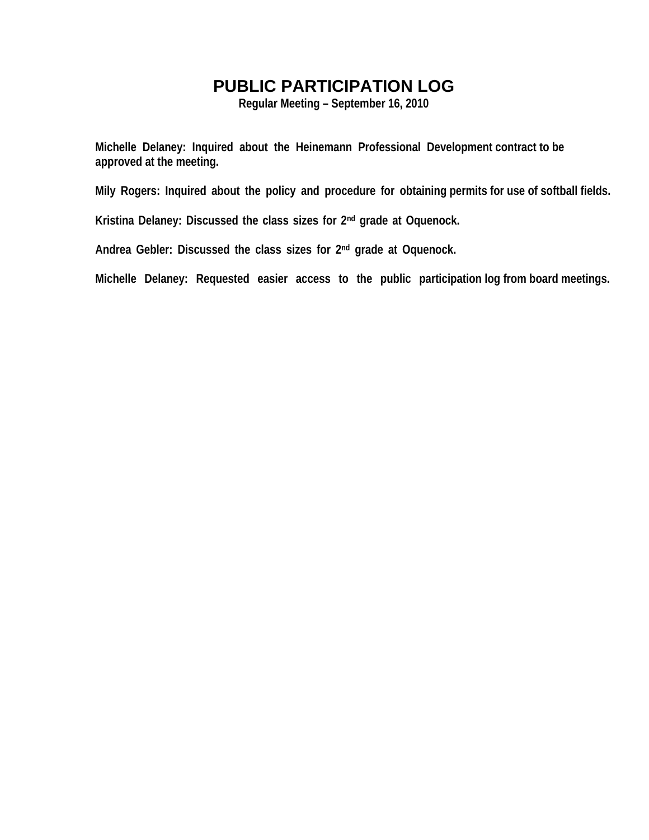## **PUBLIC PARTICIPATION LOG**

**Regular Meeting – September 16, 2010** 

**Michelle Delaney: Inquired about the Heinemann Professional Development contract to be approved at the meeting.** 

**Mily Rogers: Inquired about the policy and procedure for obtaining permits for use of softball fields.** 

**Kristina Delaney: Discussed the class sizes for 2nd grade at Oquenock.** 

**Andrea Gebler: Discussed the class sizes for 2nd grade at Oquenock.** 

**Michelle Delaney: Requested easier access to the public participation log from board meetings.**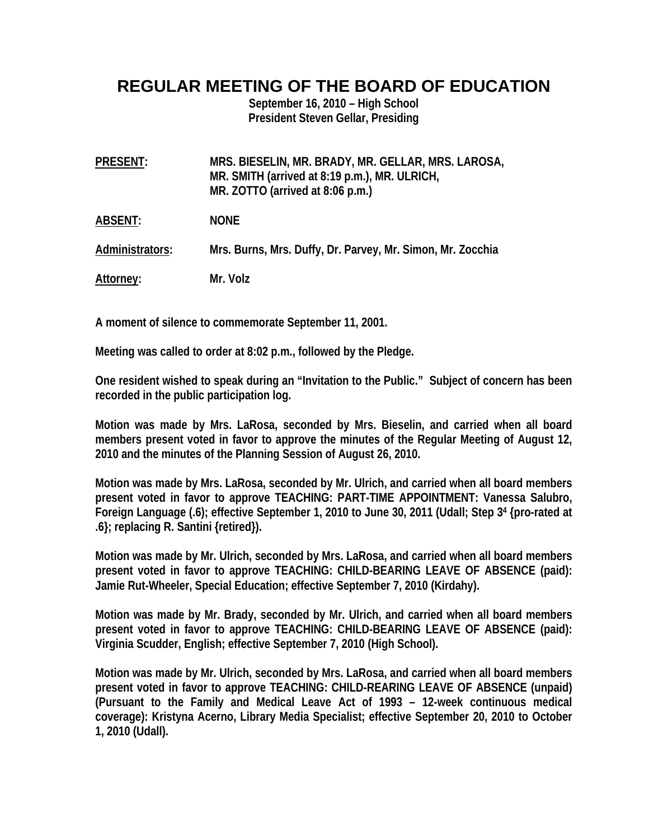## **REGULAR MEETING OF THE BOARD OF EDUCATION**

**September 16, 2010 – High School President Steven Gellar, Presiding** 

| <b>PRESENT:</b> | MRS. BIESELIN, MR. BRADY, MR. GELLAR, MRS. LAROSA,<br>MR. SMITH (arrived at 8:19 p.m.), MR. ULRICH,<br>MR. ZOTTO (arrived at 8:06 p.m.) |
|-----------------|-----------------------------------------------------------------------------------------------------------------------------------------|
| <b>ABSENT:</b>  | <b>NONE</b>                                                                                                                             |
| Administrators: | Mrs. Burns, Mrs. Duffy, Dr. Parvey, Mr. Simon, Mr. Zocchia                                                                              |
| Attorney:       | Mr. Volz                                                                                                                                |

**A moment of silence to commemorate September 11, 2001.** 

**Meeting was called to order at 8:02 p.m., followed by the Pledge.** 

**One resident wished to speak during an "Invitation to the Public." Subject of concern has been recorded in the public participation log.** 

**Motion was made by Mrs. LaRosa, seconded by Mrs. Bieselin, and carried when all board members present voted in favor to approve the minutes of the Regular Meeting of August 12, 2010 and the minutes of the Planning Session of August 26, 2010.** 

**Motion was made by Mrs. LaRosa, seconded by Mr. Ulrich, and carried when all board members present voted in favor to approve TEACHING: PART-TIME APPOINTMENT: Vanessa Salubro, Foreign Language (.6); effective September 1, 2010 to June 30, 2011 (Udall; Step 34 {pro-rated at .6}; replacing R. Santini {retired}).** 

**Motion was made by Mr. Ulrich, seconded by Mrs. LaRosa, and carried when all board members present voted in favor to approve TEACHING: CHILD-BEARING LEAVE OF ABSENCE (paid): Jamie Rut-Wheeler, Special Education; effective September 7, 2010 (Kirdahy).** 

**Motion was made by Mr. Brady, seconded by Mr. Ulrich, and carried when all board members present voted in favor to approve TEACHING: CHILD-BEARING LEAVE OF ABSENCE (paid): Virginia Scudder, English; effective September 7, 2010 (High School).** 

**Motion was made by Mr. Ulrich, seconded by Mrs. LaRosa, and carried when all board members present voted in favor to approve TEACHING: CHILD-REARING LEAVE OF ABSENCE (unpaid) (Pursuant to the Family and Medical Leave Act of 1993 – 12-week continuous medical coverage): Kristyna Acerno, Library Media Specialist; effective September 20, 2010 to October 1, 2010 (Udall).**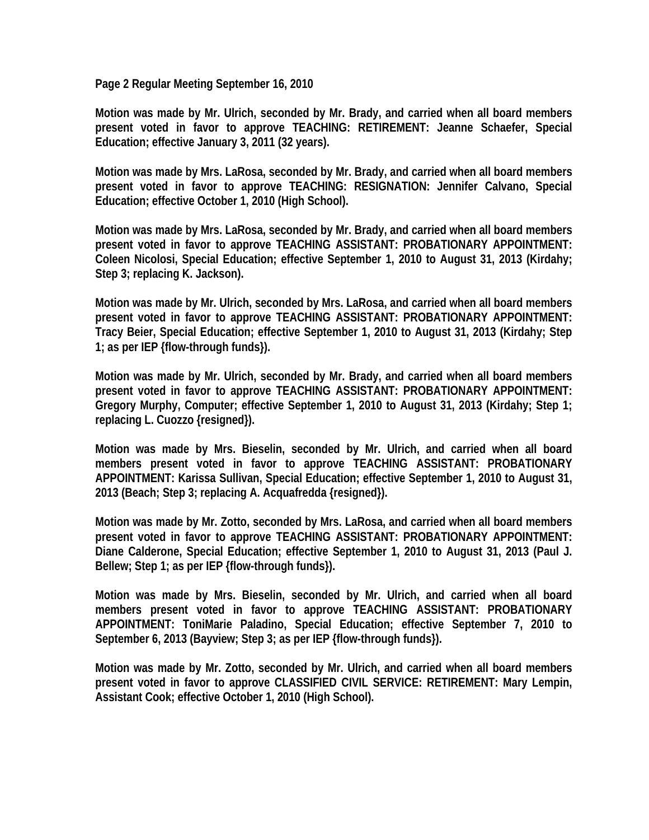**Page 2 Regular Meeting September 16, 2010** 

**Motion was made by Mr. Ulrich, seconded by Mr. Brady, and carried when all board members present voted in favor to approve TEACHING: RETIREMENT: Jeanne Schaefer, Special Education; effective January 3, 2011 (32 years).** 

**Motion was made by Mrs. LaRosa, seconded by Mr. Brady, and carried when all board members present voted in favor to approve TEACHING: RESIGNATION: Jennifer Calvano, Special Education; effective October 1, 2010 (High School).** 

**Motion was made by Mrs. LaRosa, seconded by Mr. Brady, and carried when all board members present voted in favor to approve TEACHING ASSISTANT: PROBATIONARY APPOINTMENT: Coleen Nicolosi, Special Education; effective September 1, 2010 to August 31, 2013 (Kirdahy; Step 3; replacing K. Jackson).** 

**Motion was made by Mr. Ulrich, seconded by Mrs. LaRosa, and carried when all board members present voted in favor to approve TEACHING ASSISTANT: PROBATIONARY APPOINTMENT: Tracy Beier, Special Education; effective September 1, 2010 to August 31, 2013 (Kirdahy; Step 1; as per IEP {flow-through funds}).** 

**Motion was made by Mr. Ulrich, seconded by Mr. Brady, and carried when all board members present voted in favor to approve TEACHING ASSISTANT: PROBATIONARY APPOINTMENT: Gregory Murphy, Computer; effective September 1, 2010 to August 31, 2013 (Kirdahy; Step 1; replacing L. Cuozzo {resigned}).** 

**Motion was made by Mrs. Bieselin, seconded by Mr. Ulrich, and carried when all board members present voted in favor to approve TEACHING ASSISTANT: PROBATIONARY APPOINTMENT: Karissa Sullivan, Special Education; effective September 1, 2010 to August 31, 2013 (Beach; Step 3; replacing A. Acquafredda {resigned}).** 

**Motion was made by Mr. Zotto, seconded by Mrs. LaRosa, and carried when all board members present voted in favor to approve TEACHING ASSISTANT: PROBATIONARY APPOINTMENT: Diane Calderone, Special Education; effective September 1, 2010 to August 31, 2013 (Paul J. Bellew; Step 1; as per IEP {flow-through funds}).** 

**Motion was made by Mrs. Bieselin, seconded by Mr. Ulrich, and carried when all board members present voted in favor to approve TEACHING ASSISTANT: PROBATIONARY APPOINTMENT: ToniMarie Paladino, Special Education; effective September 7, 2010 to September 6, 2013 (Bayview; Step 3; as per IEP {flow-through funds}).** 

**Motion was made by Mr. Zotto, seconded by Mr. Ulrich, and carried when all board members present voted in favor to approve CLASSIFIED CIVIL SERVICE: RETIREMENT: Mary Lempin, Assistant Cook; effective October 1, 2010 (High School).**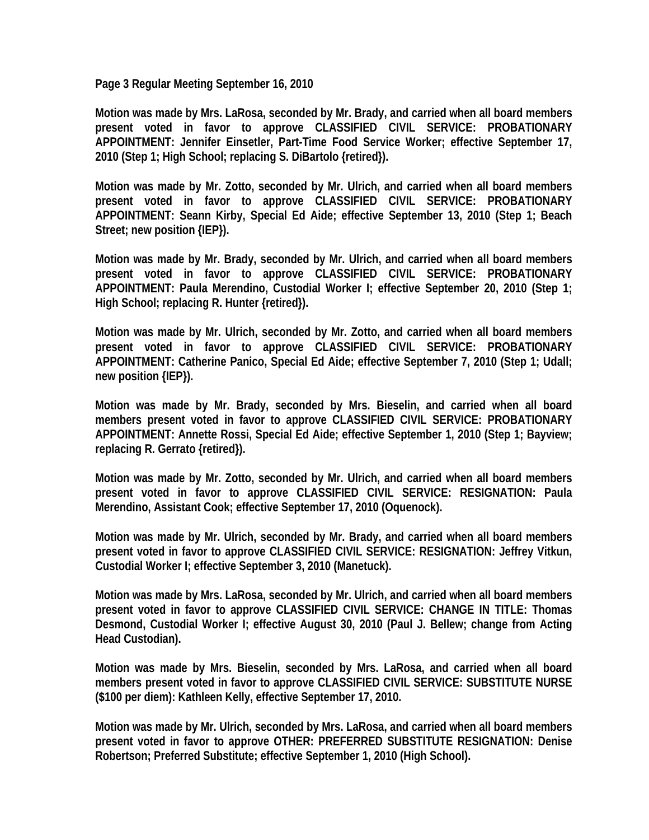**Page 3 Regular Meeting September 16, 2010** 

**Motion was made by Mrs. LaRosa, seconded by Mr. Brady, and carried when all board members present voted in favor to approve CLASSIFIED CIVIL SERVICE: PROBATIONARY APPOINTMENT: Jennifer Einsetler, Part-Time Food Service Worker; effective September 17, 2010 (Step 1; High School; replacing S. DiBartolo {retired}).** 

**Motion was made by Mr. Zotto, seconded by Mr. Ulrich, and carried when all board members present voted in favor to approve CLASSIFIED CIVIL SERVICE: PROBATIONARY APPOINTMENT: Seann Kirby, Special Ed Aide; effective September 13, 2010 (Step 1; Beach Street; new position {IEP}).** 

**Motion was made by Mr. Brady, seconded by Mr. Ulrich, and carried when all board members present voted in favor to approve CLASSIFIED CIVIL SERVICE: PROBATIONARY APPOINTMENT: Paula Merendino, Custodial Worker I; effective September 20, 2010 (Step 1; High School; replacing R. Hunter {retired}).** 

**Motion was made by Mr. Ulrich, seconded by Mr. Zotto, and carried when all board members present voted in favor to approve CLASSIFIED CIVIL SERVICE: PROBATIONARY APPOINTMENT: Catherine Panico, Special Ed Aide; effective September 7, 2010 (Step 1; Udall; new position {IEP}).** 

**Motion was made by Mr. Brady, seconded by Mrs. Bieselin, and carried when all board members present voted in favor to approve CLASSIFIED CIVIL SERVICE: PROBATIONARY APPOINTMENT: Annette Rossi, Special Ed Aide; effective September 1, 2010 (Step 1; Bayview; replacing R. Gerrato {retired}).** 

**Motion was made by Mr. Zotto, seconded by Mr. Ulrich, and carried when all board members present voted in favor to approve CLASSIFIED CIVIL SERVICE: RESIGNATION: Paula Merendino, Assistant Cook; effective September 17, 2010 (Oquenock).** 

**Motion was made by Mr. Ulrich, seconded by Mr. Brady, and carried when all board members present voted in favor to approve CLASSIFIED CIVIL SERVICE: RESIGNATION: Jeffrey Vitkun, Custodial Worker I; effective September 3, 2010 (Manetuck).** 

**Motion was made by Mrs. LaRosa, seconded by Mr. Ulrich, and carried when all board members present voted in favor to approve CLASSIFIED CIVIL SERVICE: CHANGE IN TITLE: Thomas Desmond, Custodial Worker I; effective August 30, 2010 (Paul J. Bellew; change from Acting Head Custodian).** 

**Motion was made by Mrs. Bieselin, seconded by Mrs. LaRosa, and carried when all board members present voted in favor to approve CLASSIFIED CIVIL SERVICE: SUBSTITUTE NURSE (\$100 per diem): Kathleen Kelly, effective September 17, 2010.** 

**Motion was made by Mr. Ulrich, seconded by Mrs. LaRosa, and carried when all board members present voted in favor to approve OTHER: PREFERRED SUBSTITUTE RESIGNATION: Denise Robertson; Preferred Substitute; effective September 1, 2010 (High School).**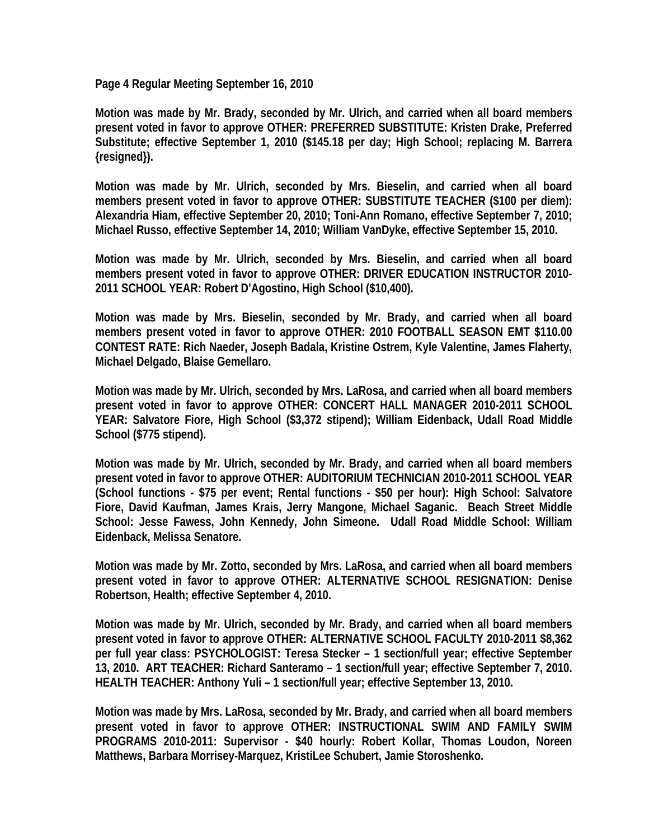**Page 4 Regular Meeting September 16, 2010** 

**Motion was made by Mr. Brady, seconded by Mr. Ulrich, and carried when all board members present voted in favor to approve OTHER: PREFERRED SUBSTITUTE: Kristen Drake, Preferred Substitute; effective September 1, 2010 (\$145.18 per day; High School; replacing M. Barrera {resigned}).** 

**Motion was made by Mr. Ulrich, seconded by Mrs. Bieselin, and carried when all board members present voted in favor to approve OTHER: SUBSTITUTE TEACHER (\$100 per diem): Alexandria Hiam, effective September 20, 2010; Toni-Ann Romano, effective September 7, 2010; Michael Russo, effective September 14, 2010; William VanDyke, effective September 15, 2010.** 

**Motion was made by Mr. Ulrich, seconded by Mrs. Bieselin, and carried when all board members present voted in favor to approve OTHER: DRIVER EDUCATION INSTRUCTOR 2010- 2011 SCHOOL YEAR: Robert D'Agostino, High School (\$10,400).** 

**Motion was made by Mrs. Bieselin, seconded by Mr. Brady, and carried when all board members present voted in favor to approve OTHER: 2010 FOOTBALL SEASON EMT \$110.00 CONTEST RATE: Rich Naeder, Joseph Badala, Kristine Ostrem, Kyle Valentine, James Flaherty, Michael Delgado, Blaise Gemellaro.** 

**Motion was made by Mr. Ulrich, seconded by Mrs. LaRosa, and carried when all board members present voted in favor to approve OTHER: CONCERT HALL MANAGER 2010-2011 SCHOOL YEAR: Salvatore Fiore, High School (\$3,372 stipend); William Eidenback, Udall Road Middle School (\$775 stipend).** 

**Motion was made by Mr. Ulrich, seconded by Mr. Brady, and carried when all board members present voted in favor to approve OTHER: AUDITORIUM TECHNICIAN 2010-2011 SCHOOL YEAR (School functions - \$75 per event; Rental functions - \$50 per hour): High School: Salvatore Fiore, David Kaufman, James Krais, Jerry Mangone, Michael Saganic. Beach Street Middle School: Jesse Fawess, John Kennedy, John Simeone. Udall Road Middle School: William Eidenback, Melissa Senatore.** 

**Motion was made by Mr. Zotto, seconded by Mrs. LaRosa, and carried when all board members present voted in favor to approve OTHER: ALTERNATIVE SCHOOL RESIGNATION: Denise Robertson, Health; effective September 4, 2010.** 

**Motion was made by Mr. Ulrich, seconded by Mr. Brady, and carried when all board members present voted in favor to approve OTHER: ALTERNATIVE SCHOOL FACULTY 2010-2011 \$8,362 per full year class: PSYCHOLOGIST: Teresa Stecker – 1 section/full year; effective September 13, 2010. ART TEACHER: Richard Santeramo – 1 section/full year; effective September 7, 2010. HEALTH TEACHER: Anthony Yuli – 1 section/full year; effective September 13, 2010.** 

**Motion was made by Mrs. LaRosa, seconded by Mr. Brady, and carried when all board members present voted in favor to approve OTHER: INSTRUCTIONAL SWIM AND FAMILY SWIM PROGRAMS 2010-2011: Supervisor - \$40 hourly: Robert Kollar, Thomas Loudon, Noreen Matthews, Barbara Morrisey-Marquez, KristiLee Schubert, Jamie Storoshenko.**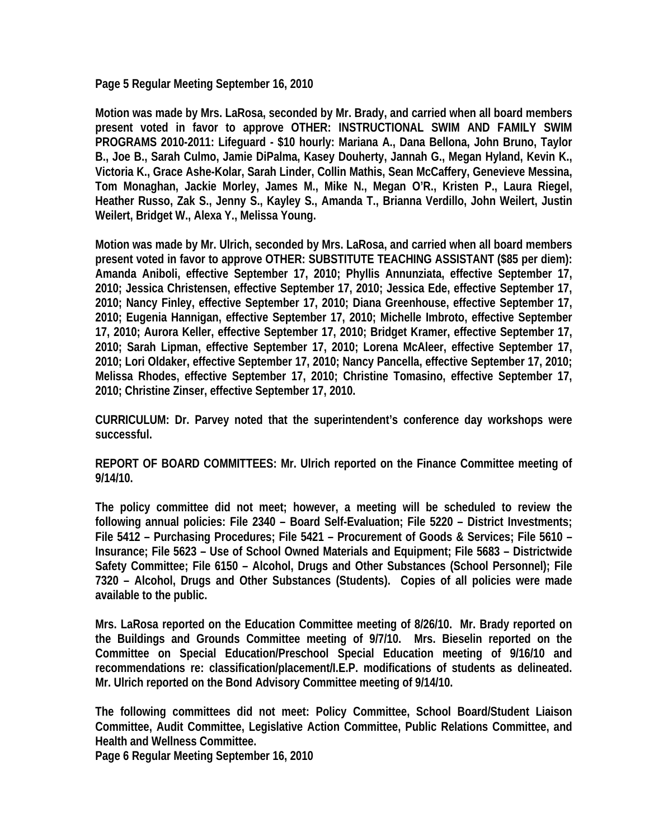**Page 5 Regular Meeting September 16, 2010** 

**Motion was made by Mrs. LaRosa, seconded by Mr. Brady, and carried when all board members present voted in favor to approve OTHER: INSTRUCTIONAL SWIM AND FAMILY SWIM PROGRAMS 2010-2011: Lifeguard - \$10 hourly: Mariana A., Dana Bellona, John Bruno, Taylor B., Joe B., Sarah Culmo, Jamie DiPalma, Kasey Douherty, Jannah G., Megan Hyland, Kevin K., Victoria K., Grace Ashe-Kolar, Sarah Linder, Collin Mathis, Sean McCaffery, Genevieve Messina, Tom Monaghan, Jackie Morley, James M., Mike N., Megan O'R., Kristen P., Laura Riegel, Heather Russo, Zak S., Jenny S., Kayley S., Amanda T., Brianna Verdillo, John Weilert, Justin Weilert, Bridget W., Alexa Y., Melissa Young.** 

**Motion was made by Mr. Ulrich, seconded by Mrs. LaRosa, and carried when all board members present voted in favor to approve OTHER: SUBSTITUTE TEACHING ASSISTANT (\$85 per diem): Amanda Aniboli, effective September 17, 2010; Phyllis Annunziata, effective September 17, 2010; Jessica Christensen, effective September 17, 2010; Jessica Ede, effective September 17, 2010; Nancy Finley, effective September 17, 2010; Diana Greenhouse, effective September 17, 2010; Eugenia Hannigan, effective September 17, 2010; Michelle Imbroto, effective September 17, 2010; Aurora Keller, effective September 17, 2010; Bridget Kramer, effective September 17, 2010; Sarah Lipman, effective September 17, 2010; Lorena McAleer, effective September 17, 2010; Lori Oldaker, effective September 17, 2010; Nancy Pancella, effective September 17, 2010; Melissa Rhodes, effective September 17, 2010; Christine Tomasino, effective September 17, 2010; Christine Zinser, effective September 17, 2010.** 

**CURRICULUM: Dr. Parvey noted that the superintendent's conference day workshops were successful.** 

**REPORT OF BOARD COMMITTEES: Mr. Ulrich reported on the Finance Committee meeting of 9/14/10.** 

**The policy committee did not meet; however, a meeting will be scheduled to review the following annual policies: File 2340 – Board Self-Evaluation; File 5220 – District Investments; File 5412 – Purchasing Procedures; File 5421 – Procurement of Goods & Services; File 5610 – Insurance; File 5623 – Use of School Owned Materials and Equipment; File 5683 – Districtwide Safety Committee; File 6150 – Alcohol, Drugs and Other Substances (School Personnel); File 7320 – Alcohol, Drugs and Other Substances (Students). Copies of all policies were made available to the public.** 

**Mrs. LaRosa reported on the Education Committee meeting of 8/26/10. Mr. Brady reported on the Buildings and Grounds Committee meeting of 9/7/10. Mrs. Bieselin reported on the Committee on Special Education/Preschool Special Education meeting of 9/16/10 and recommendations re: classification/placement/I.E.P. modifications of students as delineated. Mr. Ulrich reported on the Bond Advisory Committee meeting of 9/14/10.** 

**The following committees did not meet: Policy Committee, School Board/Student Liaison Committee, Audit Committee, Legislative Action Committee, Public Relations Committee, and Health and Wellness Committee.** 

**Page 6 Regular Meeting September 16, 2010**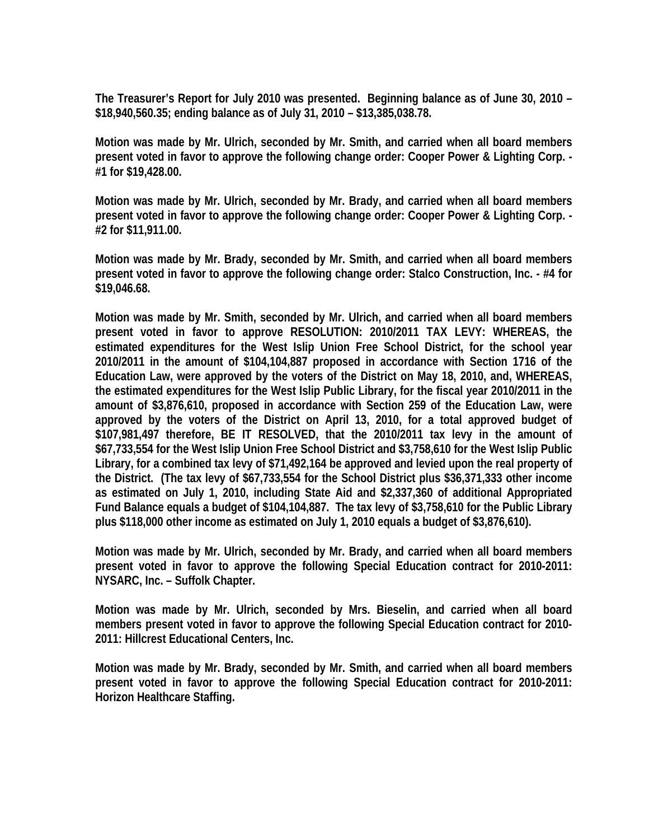**The Treasurer's Report for July 2010 was presented. Beginning balance as of June 30, 2010 – \$18,940,560.35; ending balance as of July 31, 2010 – \$13,385,038.78.** 

**Motion was made by Mr. Ulrich, seconded by Mr. Smith, and carried when all board members present voted in favor to approve the following change order: Cooper Power & Lighting Corp. - #1 for \$19,428.00.** 

**Motion was made by Mr. Ulrich, seconded by Mr. Brady, and carried when all board members present voted in favor to approve the following change order: Cooper Power & Lighting Corp. - #2 for \$11,911.00.** 

**Motion was made by Mr. Brady, seconded by Mr. Smith, and carried when all board members present voted in favor to approve the following change order: Stalco Construction, Inc. - #4 for \$19,046.68.** 

**Motion was made by Mr. Smith, seconded by Mr. Ulrich, and carried when all board members present voted in favor to approve RESOLUTION: 2010/2011 TAX LEVY: WHEREAS, the estimated expenditures for the West Islip Union Free School District, for the school year 2010/2011 in the amount of \$104,104,887 proposed in accordance with Section 1716 of the Education Law, were approved by the voters of the District on May 18, 2010, and, WHEREAS, the estimated expenditures for the West Islip Public Library, for the fiscal year 2010/2011 in the amount of \$3,876,610, proposed in accordance with Section 259 of the Education Law, were approved by the voters of the District on April 13, 2010, for a total approved budget of \$107,981,497 therefore, BE IT RESOLVED, that the 2010/2011 tax levy in the amount of \$67,733,554 for the West Islip Union Free School District and \$3,758,610 for the West Islip Public Library, for a combined tax levy of \$71,492,164 be approved and levied upon the real property of the District. (The tax levy of \$67,733,554 for the School District plus \$36,371,333 other income as estimated on July 1, 2010, including State Aid and \$2,337,360 of additional Appropriated Fund Balance equals a budget of \$104,104,887. The tax levy of \$3,758,610 for the Public Library plus \$118,000 other income as estimated on July 1, 2010 equals a budget of \$3,876,610).** 

**Motion was made by Mr. Ulrich, seconded by Mr. Brady, and carried when all board members present voted in favor to approve the following Special Education contract for 2010-2011: NYSARC, Inc. – Suffolk Chapter.** 

**Motion was made by Mr. Ulrich, seconded by Mrs. Bieselin, and carried when all board members present voted in favor to approve the following Special Education contract for 2010- 2011: Hillcrest Educational Centers, Inc.** 

**Motion was made by Mr. Brady, seconded by Mr. Smith, and carried when all board members present voted in favor to approve the following Special Education contract for 2010-2011: Horizon Healthcare Staffing.**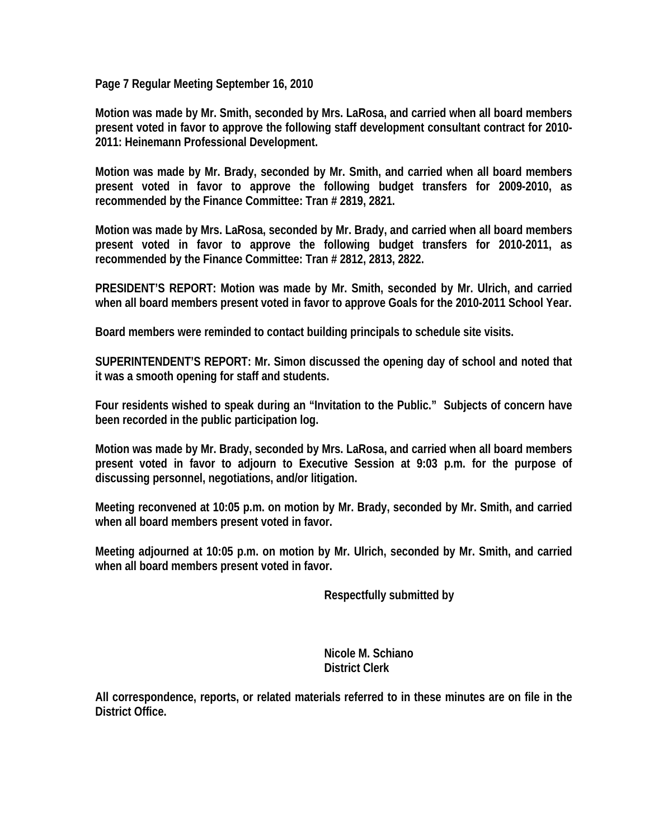**Page 7 Regular Meeting September 16, 2010** 

**Motion was made by Mr. Smith, seconded by Mrs. LaRosa, and carried when all board members present voted in favor to approve the following staff development consultant contract for 2010- 2011: Heinemann Professional Development.** 

**Motion was made by Mr. Brady, seconded by Mr. Smith, and carried when all board members present voted in favor to approve the following budget transfers for 2009-2010, as recommended by the Finance Committee: Tran # 2819, 2821.** 

**Motion was made by Mrs. LaRosa, seconded by Mr. Brady, and carried when all board members present voted in favor to approve the following budget transfers for 2010-2011, as recommended by the Finance Committee: Tran # 2812, 2813, 2822.** 

**PRESIDENT'S REPORT: Motion was made by Mr. Smith, seconded by Mr. Ulrich, and carried when all board members present voted in favor to approve Goals for the 2010-2011 School Year.** 

**Board members were reminded to contact building principals to schedule site visits.** 

**SUPERINTENDENT'S REPORT: Mr. Simon discussed the opening day of school and noted that it was a smooth opening for staff and students.** 

**Four residents wished to speak during an "Invitation to the Public." Subjects of concern have been recorded in the public participation log.** 

**Motion was made by Mr. Brady, seconded by Mrs. LaRosa, and carried when all board members present voted in favor to adjourn to Executive Session at 9:03 p.m. for the purpose of discussing personnel, negotiations, and/or litigation.** 

**Meeting reconvened at 10:05 p.m. on motion by Mr. Brady, seconded by Mr. Smith, and carried when all board members present voted in favor.** 

**Meeting adjourned at 10:05 p.m. on motion by Mr. Ulrich, seconded by Mr. Smith, and carried when all board members present voted in favor.** 

 **Respectfully submitted by** 

 **Nicole M. Schiano District Clerk** 

**All correspondence, reports, or related materials referred to in these minutes are on file in the District Office.**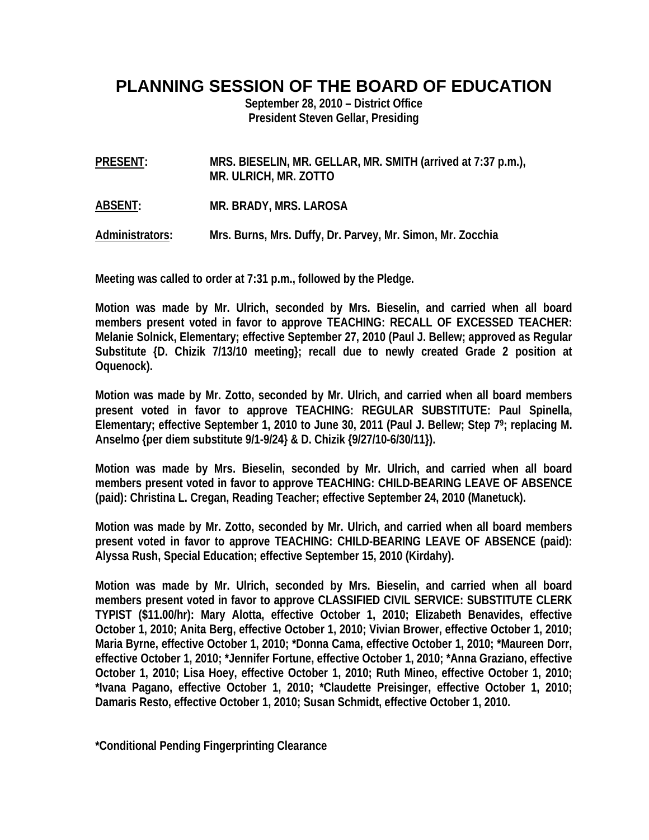## **PLANNING SESSION OF THE BOARD OF EDUCATION**

**September 28, 2010 – District Office President Steven Gellar, Presiding** 

- **PRESENT: MRS. BIESELIN, MR. GELLAR, MR. SMITH (arrived at 7:37 p.m.), MR. ULRICH, MR. ZOTTO**
- **ABSENT: MR. BRADY, MRS. LAROSA**

**Administrators: Mrs. Burns, Mrs. Duffy, Dr. Parvey, Mr. Simon, Mr. Zocchia** 

**Meeting was called to order at 7:31 p.m., followed by the Pledge.** 

**Motion was made by Mr. Ulrich, seconded by Mrs. Bieselin, and carried when all board members present voted in favor to approve TEACHING: RECALL OF EXCESSED TEACHER: Melanie Solnick, Elementary; effective September 27, 2010 (Paul J. Bellew; approved as Regular Substitute {D. Chizik 7/13/10 meeting}; recall due to newly created Grade 2 position at Oquenock).** 

**Motion was made by Mr. Zotto, seconded by Mr. Ulrich, and carried when all board members present voted in favor to approve TEACHING: REGULAR SUBSTITUTE: Paul Spinella, Elementary; effective September 1, 2010 to June 30, 2011 (Paul J. Bellew; Step 79; replacing M. Anselmo {per diem substitute 9/1-9/24} & D. Chizik {9/27/10-6/30/11}).** 

**Motion was made by Mrs. Bieselin, seconded by Mr. Ulrich, and carried when all board members present voted in favor to approve TEACHING: CHILD-BEARING LEAVE OF ABSENCE (paid): Christina L. Cregan, Reading Teacher; effective September 24, 2010 (Manetuck).** 

**Motion was made by Mr. Zotto, seconded by Mr. Ulrich, and carried when all board members present voted in favor to approve TEACHING: CHILD-BEARING LEAVE OF ABSENCE (paid): Alyssa Rush, Special Education; effective September 15, 2010 (Kirdahy).** 

**Motion was made by Mr. Ulrich, seconded by Mrs. Bieselin, and carried when all board members present voted in favor to approve CLASSIFIED CIVIL SERVICE: SUBSTITUTE CLERK TYPIST (\$11.00/hr): Mary Alotta, effective October 1, 2010; Elizabeth Benavides, effective October 1, 2010; Anita Berg, effective October 1, 2010; Vivian Brower, effective October 1, 2010; Maria Byrne, effective October 1, 2010; \*Donna Cama, effective October 1, 2010; \*Maureen Dorr, effective October 1, 2010; \*Jennifer Fortune, effective October 1, 2010; \*Anna Graziano, effective October 1, 2010; Lisa Hoey, effective October 1, 2010; Ruth Mineo, effective October 1, 2010; \*Ivana Pagano, effective October 1, 2010; \*Claudette Preisinger, effective October 1, 2010; Damaris Resto, effective October 1, 2010; Susan Schmidt, effective October 1, 2010.** 

**\*Conditional Pending Fingerprinting Clearance**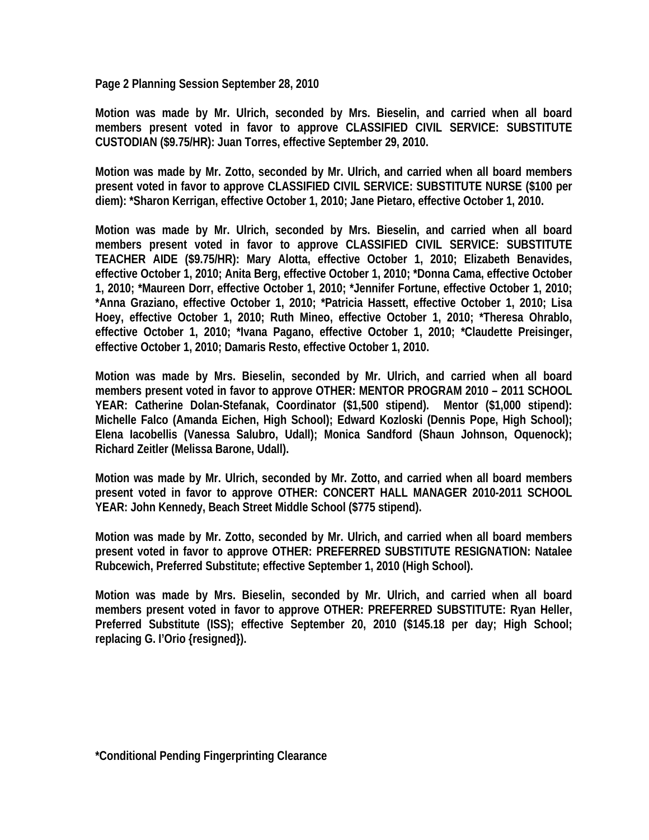**Page 2 Planning Session September 28, 2010** 

**Motion was made by Mr. Ulrich, seconded by Mrs. Bieselin, and carried when all board members present voted in favor to approve CLASSIFIED CIVIL SERVICE: SUBSTITUTE CUSTODIAN (\$9.75/HR): Juan Torres, effective September 29, 2010.** 

**Motion was made by Mr. Zotto, seconded by Mr. Ulrich, and carried when all board members present voted in favor to approve CLASSIFIED CIVIL SERVICE: SUBSTITUTE NURSE (\$100 per diem): \*Sharon Kerrigan, effective October 1, 2010; Jane Pietaro, effective October 1, 2010.** 

**Motion was made by Mr. Ulrich, seconded by Mrs. Bieselin, and carried when all board members present voted in favor to approve CLASSIFIED CIVIL SERVICE: SUBSTITUTE TEACHER AIDE (\$9.75/HR): Mary Alotta, effective October 1, 2010; Elizabeth Benavides, effective October 1, 2010; Anita Berg, effective October 1, 2010; \*Donna Cama, effective October 1, 2010; \*Maureen Dorr, effective October 1, 2010; \*Jennifer Fortune, effective October 1, 2010; \*Anna Graziano, effective October 1, 2010; \*Patricia Hassett, effective October 1, 2010; Lisa Hoey, effective October 1, 2010; Ruth Mineo, effective October 1, 2010; \*Theresa Ohrablo, effective October 1, 2010; \*Ivana Pagano, effective October 1, 2010; \*Claudette Preisinger, effective October 1, 2010; Damaris Resto, effective October 1, 2010.** 

**Motion was made by Mrs. Bieselin, seconded by Mr. Ulrich, and carried when all board members present voted in favor to approve OTHER: MENTOR PROGRAM 2010 – 2011 SCHOOL YEAR: Catherine Dolan-Stefanak, Coordinator (\$1,500 stipend). Mentor (\$1,000 stipend): Michelle Falco (Amanda Eichen, High School); Edward Kozloski (Dennis Pope, High School); Elena Iacobellis (Vanessa Salubro, Udall); Monica Sandford (Shaun Johnson, Oquenock); Richard Zeitler (Melissa Barone, Udall).** 

**Motion was made by Mr. Ulrich, seconded by Mr. Zotto, and carried when all board members present voted in favor to approve OTHER: CONCERT HALL MANAGER 2010-2011 SCHOOL YEAR: John Kennedy, Beach Street Middle School (\$775 stipend).** 

**Motion was made by Mr. Zotto, seconded by Mr. Ulrich, and carried when all board members present voted in favor to approve OTHER: PREFERRED SUBSTITUTE RESIGNATION: Natalee Rubcewich, Preferred Substitute; effective September 1, 2010 (High School).** 

**Motion was made by Mrs. Bieselin, seconded by Mr. Ulrich, and carried when all board members present voted in favor to approve OTHER: PREFERRED SUBSTITUTE: Ryan Heller, Preferred Substitute (ISS); effective September 20, 2010 (\$145.18 per day; High School; replacing G. I'Orio {resigned}).**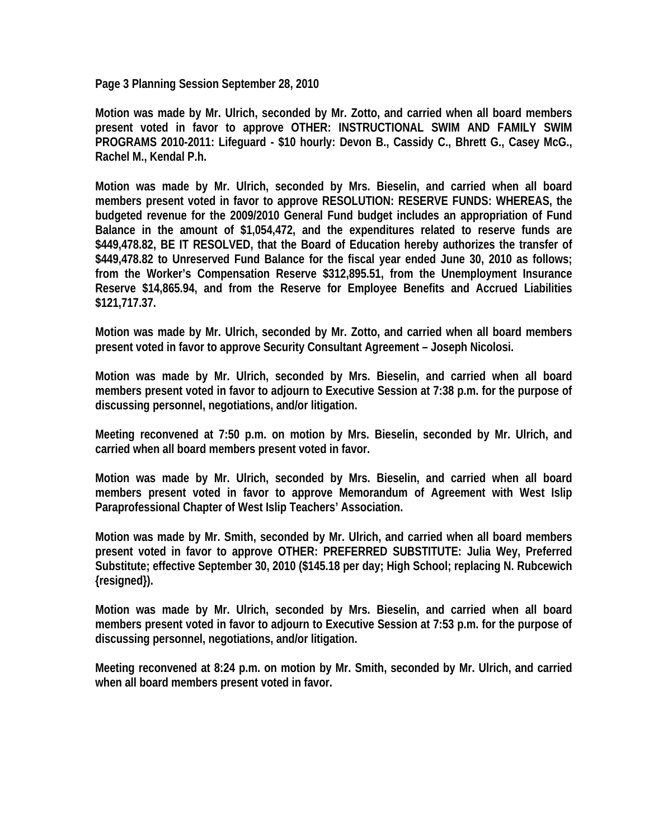**Page 3 Planning Session September 28, 2010** 

**Motion was made by Mr. Ulrich, seconded by Mr. Zotto, and carried when all board members present voted in favor to approve OTHER: INSTRUCTIONAL SWIM AND FAMILY SWIM PROGRAMS 2010-2011: Lifeguard - \$10 hourly: Devon B., Cassidy C., Bhrett G., Casey McG., Rachel M., Kendal P.h.** 

**Motion was made by Mr. Ulrich, seconded by Mrs. Bieselin, and carried when all board members present voted in favor to approve RESOLUTION: RESERVE FUNDS: WHEREAS, the budgeted revenue for the 2009/2010 General Fund budget includes an appropriation of Fund Balance in the amount of \$1,054,472, and the expenditures related to reserve funds are \$449,478.82, BE IT RESOLVED, that the Board of Education hereby authorizes the transfer of \$449,478.82 to Unreserved Fund Balance for the fiscal year ended June 30, 2010 as follows; from the Worker's Compensation Reserve \$312,895.51, from the Unemployment Insurance Reserve \$14,865.94, and from the Reserve for Employee Benefits and Accrued Liabilities \$121,717.37.** 

**Motion was made by Mr. Ulrich, seconded by Mr. Zotto, and carried when all board members present voted in favor to approve Security Consultant Agreement – Joseph Nicolosi.** 

**Motion was made by Mr. Ulrich, seconded by Mrs. Bieselin, and carried when all board members present voted in favor to adjourn to Executive Session at 7:38 p.m. for the purpose of discussing personnel, negotiations, and/or litigation.** 

**Meeting reconvened at 7:50 p.m. on motion by Mrs. Bieselin, seconded by Mr. Ulrich, and carried when all board members present voted in favor.** 

**Motion was made by Mr. Ulrich, seconded by Mrs. Bieselin, and carried when all board members present voted in favor to approve Memorandum of Agreement with West Islip Paraprofessional Chapter of West Islip Teachers' Association.** 

**Motion was made by Mr. Smith, seconded by Mr. Ulrich, and carried when all board members present voted in favor to approve OTHER: PREFERRED SUBSTITUTE: Julia Wey, Preferred Substitute; effective September 30, 2010 (\$145.18 per day; High School; replacing N. Rubcewich {resigned}).** 

**Motion was made by Mr. Ulrich, seconded by Mrs. Bieselin, and carried when all board members present voted in favor to adjourn to Executive Session at 7:53 p.m. for the purpose of discussing personnel, negotiations, and/or litigation.** 

**Meeting reconvened at 8:24 p.m. on motion by Mr. Smith, seconded by Mr. Ulrich, and carried when all board members present voted in favor.**